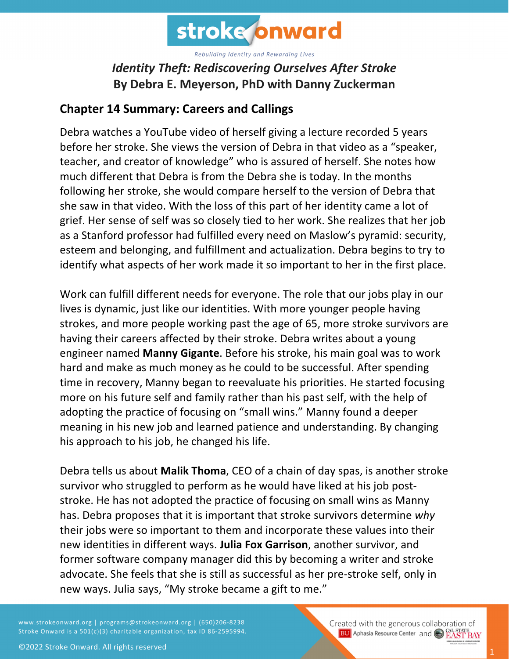

## *Identity Theft: Rediscovering Ourselves After Stroke* **By Debra E. Meyerson, PhD with Danny Zuckerman**

## **Chapter 14 Summary: Careers and Callings**

Debra watches a YouTube video of herself giving a lecture recorded 5 years before her stroke. She views the version of Debra in that video as a "speaker, teacher, and creator of knowledge" who is assured of herself. She notes how much different that Debra is from the Debra she is today. In the months following her stroke, she would compare herself to the version of Debra that she saw in that video. With the loss of this part of her identity came a lot of grief. Her sense of self was so closely tied to her work. She realizes that her job as a Stanford professor had fulfilled every need on Maslow's pyramid: security, esteem and belonging, and fulfillment and actualization. Debra begins to try to identify what aspects of her work made it so important to her in the first place.

Work can fulfill different needs for everyone. The role that our jobs play in our lives is dynamic, just like our identities. With more younger people having strokes, and more people working past the age of 65, more stroke survivors are having their careers affected by their stroke. Debra writes about a young engineer named **Manny Gigante**. Before his stroke, his main goal was to work hard and make as much money as he could to be successful. After spending time in recovery, Manny began to reevaluate his priorities. He started focusing more on his future self and family rather than his past self, with the help of adopting the practice of focusing on "small wins." Manny found a deeper meaning in his new job and learned patience and understanding. By changing his approach to his job, he changed his life.

Debra tells us about **Malik Thoma**, CEO of a chain of day spas, is another stroke survivor who struggled to perform as he would have liked at his job poststroke. He has not adopted the practice of focusing on small wins as Manny has. Debra proposes that it is important that stroke survivors determine *why* their jobs were so important to them and incorporate these values into their new identities in different ways. **Julia Fox Garrison**, another survivor, and former software company manager did this by becoming a writer and stroke advocate. She feels that she is still as successful as her pre-stroke self, only in new ways. Julia says, "My stroke became a gift to me."

www.strokeonward.org | programs@strokeonward.org | (650)206-8238 Stroke Onward is a 501(c)(3) charitable organization, tax ID 86-2595994. Created with the generous collaboration of **BU** Aphasia Resource Center and **COL STATE BAY**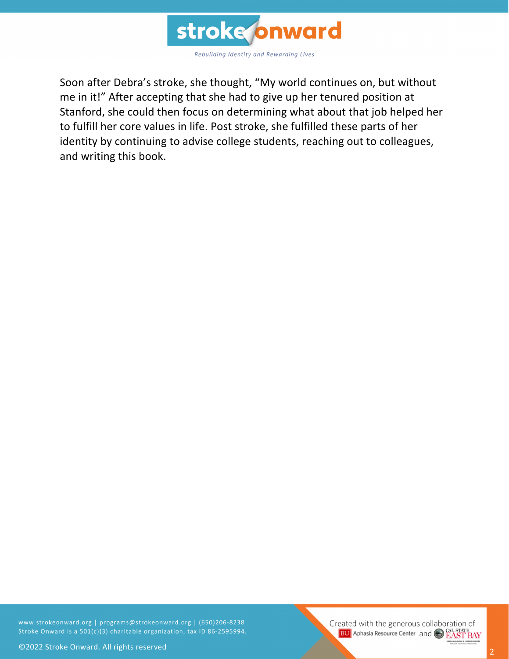

Soon after Debra's stroke, she thought, "My world continues on, but without me in it!" After accepting that she had to give up her tenured position at Stanford, she could then focus on determining what about that job helped her to fulfill her core values in life. Post stroke, she fulfilled these parts of her identity by continuing to advise college students, reaching out to colleagues, and writing this book.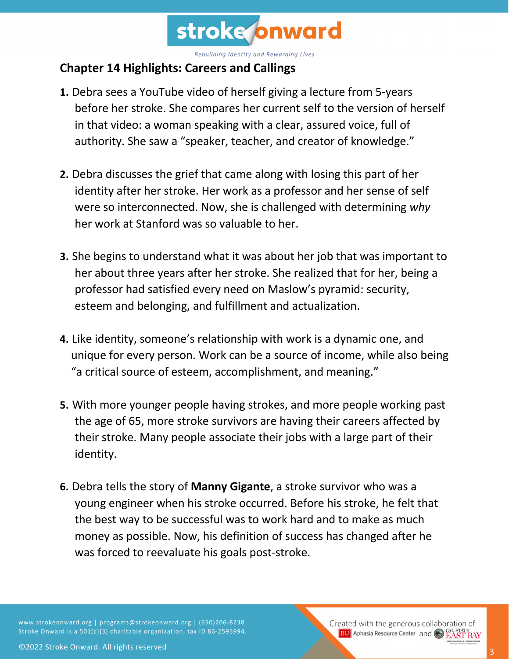

## **Chapter 14 Highlights: Careers and Callings**

- **1.** Debra sees a YouTube video of herself giving a lecture from 5-years before her stroke. She compares her current self to the version of herself in that video: a woman speaking with a clear, assured voice, full of authority. She saw a "speaker, teacher, and creator of knowledge."
- **2.** Debra discusses the grief that came along with losing this part of her identity after her stroke. Her work as a professor and her sense of self were so interconnected. Now, she is challenged with determining *why* her work at Stanford was so valuable to her.
- **3.** She begins to understand what it was about her job that was important to her about three years after her stroke. She realized that for her, being a professor had satisfied every need on Maslow's pyramid: security, esteem and belonging, and fulfillment and actualization.
- **4.** Like identity, someone's relationship with work is a dynamic one, and unique for every person. Work can be a source of income, while also being "a critical source of esteem, accomplishment, and meaning."
- **5.** With more younger people having strokes, and more people working past the age of 65, more stroke survivors are having their careers affected by their stroke. Many people associate their jobs with a large part of their identity.
- **6.** Debra tells the story of **Manny Gigante**, a stroke survivor who was a young engineer when his stroke occurred. Before his stroke, he felt that the best way to be successful was to work hard and to make as much money as possible. Now, his definition of success has changed after he was forced to reevaluate his goals post-stroke.

www.strokeonward.org | programs@strokeonward.org | (650)206-8238 Stroke Onward is a 501(c)(3) charitable organization, tax ID 86-2595994. Created with the generous collaboration of **BU** Aphasia Resource Center and **CAL STATE BAY**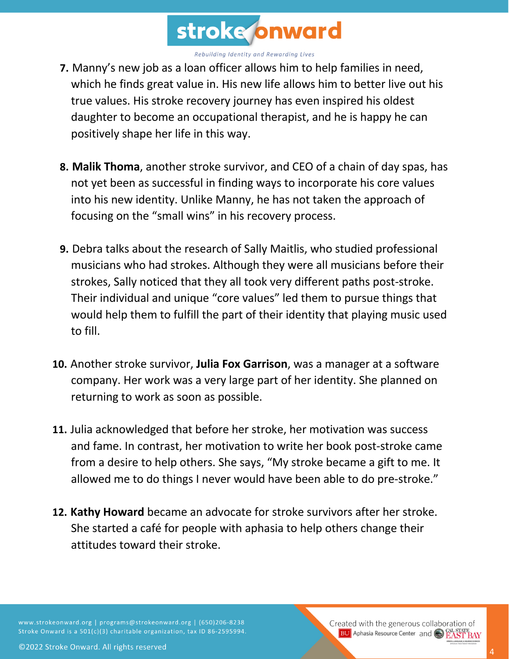

- **7.** Manny's new job as a loan officer allows him to help families in need, which he finds great value in. His new life allows him to better live out his true values. His stroke recovery journey has even inspired his oldest daughter to become an occupational therapist, and he is happy he can positively shape her life in this way.
- **8. Malik Thoma**, another stroke survivor, and CEO of a chain of day spas, has not yet been as successful in finding ways to incorporate his core values into his new identity. Unlike Manny, he has not taken the approach of focusing on the "small wins" in his recovery process.
- **9.** Debra talks about the research of Sally Maitlis, who studied professional musicians who had strokes. Although they were all musicians before their strokes, Sally noticed that they all took very different paths post-stroke. Their individual and unique "core values" led them to pursue things that would help them to fulfill the part of their identity that playing music used to fill.
- **10.** Another stroke survivor, **Julia Fox Garrison**, was a manager at a software company. Her work was a very large part of her identity. She planned on returning to work as soon as possible.
- **11.** Julia acknowledged that before her stroke, her motivation was success and fame. In contrast, her motivation to write her book post-stroke came from a desire to help others. She says, "My stroke became a gift to me. It allowed me to do things I never would have been able to do pre-stroke."
- **12. Kathy Howard** became an advocate for stroke survivors after her stroke. She started a café for people with aphasia to help others change their attitudes toward their stroke.

www.strokeonward.org | programs@strokeonward.org | (650)206-8238 Stroke Onward is a 501(c)(3) charitable organization, tax ID 86-2595994. Created with the generous collaboration of **BU** Aphasia Resource Center and **CAL STATE BAY**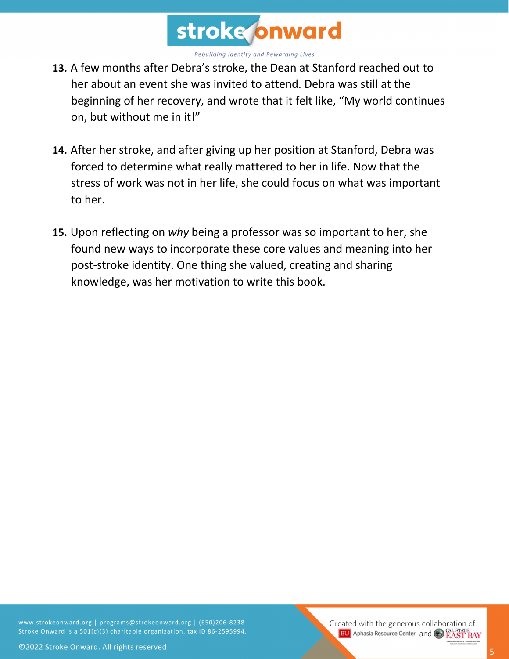

- **13.** A few months after Debra's stroke, the Dean at Stanford reached out to her about an event she was invited to attend. Debra was still at the beginning of her recovery, and wrote that it felt like, "My world continues on, but without me in it!"
- **14.** After her stroke, and after giving up her position at Stanford, Debra was forced to determine what really mattered to her in life. Now that the stress of work was not in her life, she could focus on what was important to her.
- **15.** Upon reflecting on *why* being a professor was so important to her, she found new ways to incorporate these core values and meaning into her post-stroke identity. One thing she valued, creating and sharing knowledge, was her motivation to write this book.

www.strokeonward.org | programs@strokeonward.org | (650)206-8238 Stroke Onward is a 501(c)(3) charitable organization, tax ID 86-2595994.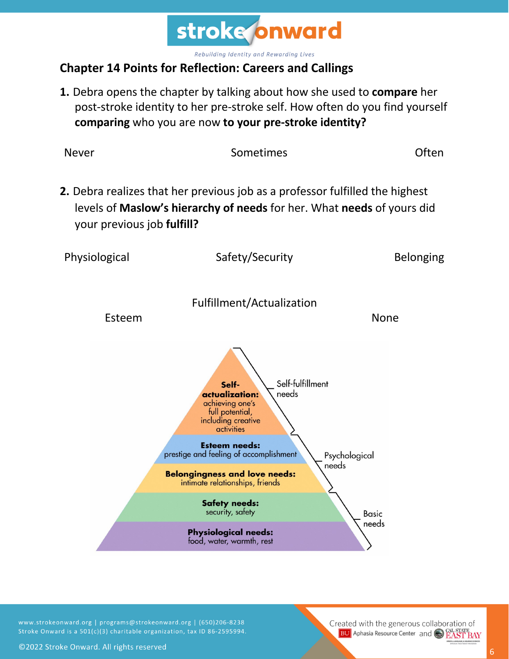

## **Chapter 14 Points for Reflection: Careers and Callings**

**1.** Debra opens the chapter by talking about how she used to **compare** her post-stroke identity to her pre-stroke self. How often do you find yourself **comparing** who you are now **to your pre-stroke identity?**



www.strokeonward.org | programs@strokeonward.org | (650)206-8238 Stroke Onward is a 501(c)(3) charitable organization, tax ID 86-2595994.